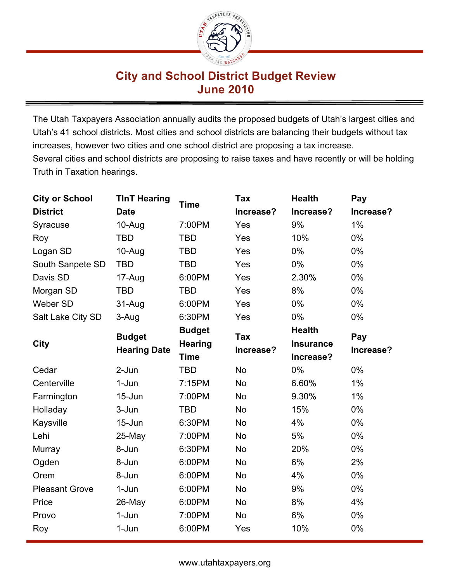

## **City and School District Budget Review June 2010**

The Utah Taxpayers Association annually audits the proposed budgets of Utah's largest cities and Utah's 41 school districts. Most cities and school districts are balancing their budgets without tax increases, however two cities and one school district are proposing a tax increase. Several cities and school districts are proposing to raise taxes and have recently or will be holding Truth in Taxation hearings.

| <b>City or School</b> | <b>TInT Hearing</b> |                | <b>Tax</b> | <b>Health</b>    | Pay       |  |
|-----------------------|---------------------|----------------|------------|------------------|-----------|--|
| <b>District</b>       | <b>Date</b>         | <b>Time</b>    | Increase?  | Increase?        | Increase? |  |
| Syracuse              | 10-Aug              | 7:00PM         | Yes        | 9%               | 1%        |  |
| Roy                   | <b>TBD</b>          | <b>TBD</b>     | Yes        | 10%              | $0\%$     |  |
| Logan SD              | 10-Aug              | <b>TBD</b>     | Yes        | 0%               | 0%        |  |
| South Sanpete SD      | <b>TBD</b>          | <b>TBD</b>     | Yes        | 0%               | $0\%$     |  |
| Davis SD              | 17-Aug              | 6:00PM         | Yes        | 2.30%            | 0%        |  |
| Morgan SD             | <b>TBD</b>          | <b>TBD</b>     | Yes        | 8%               | 0%        |  |
| Weber SD              | 31-Aug              | 6:00PM         | Yes        | 0%               | 0%        |  |
| Salt Lake City SD     | 3-Aug               | 6:30PM         | Yes        | $0\%$            | $0\%$     |  |
|                       | <b>Budget</b>       | <b>Budget</b>  | <b>Tax</b> | <b>Health</b>    | Pay       |  |
| <b>City</b>           | <b>Hearing Date</b> | <b>Hearing</b> | Increase?  | <b>Insurance</b> | Increase? |  |
|                       |                     | <b>Time</b>    |            | Increase?        |           |  |
| Cedar                 | 2-Jun               | <b>TBD</b>     | <b>No</b>  | 0%               | 0%        |  |
| Centerville           | $1-Jun$             | 7:15PM         | <b>No</b>  | 6.60%            | 1%        |  |
| Farmington            | 15-Jun              | 7:00PM         | <b>No</b>  | 9.30%            | $1\%$     |  |
| Holladay              | 3-Jun               | <b>TBD</b>     | <b>No</b>  | 15%              | 0%        |  |
| Kaysville             | 15-Jun              | 6:30PM         | <b>No</b>  | 4%               | $0\%$     |  |
| Lehi                  | 25-May              | 7:00PM         | <b>No</b>  | 5%               | 0%        |  |
| Murray                | 8-Jun               | 6:30PM         | <b>No</b>  | 20%              | 0%        |  |
| Ogden                 | 8-Jun               | 6:00PM         | <b>No</b>  | 6%               | 2%        |  |
| Orem                  | 8-Jun               | 6:00PM         | <b>No</b>  | 4%               | $0\%$     |  |
| <b>Pleasant Grove</b> | 1-Jun               | 6:00PM         | <b>No</b>  | 9%               | 0%        |  |
| Price                 | 26-May              | 6:00PM         | <b>No</b>  | 8%               | 4%        |  |
| Provo                 | 1-Jun               | 7:00PM         | <b>No</b>  | 6%               | 0%        |  |
| Roy                   | $1-Jun$             | 6:00PM         | Yes        | 10%              | 0%        |  |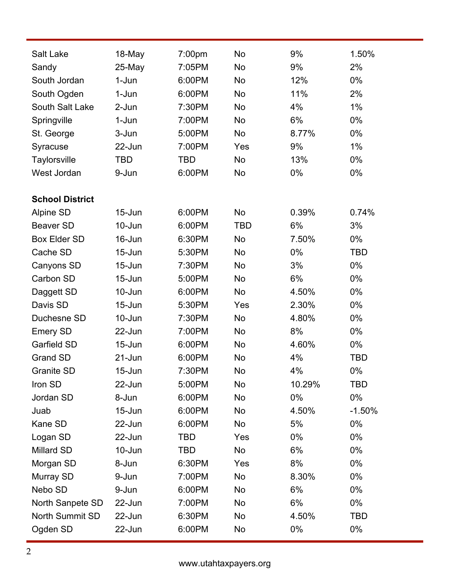| <b>Salt Lake</b>       | 18-May     | 7:00pm     | <b>No</b>  | 9%     | 1.50%      |
|------------------------|------------|------------|------------|--------|------------|
| Sandy                  | 25-May     | 7:05PM     | <b>No</b>  | 9%     | 2%         |
| South Jordan           | 1-Jun      | 6:00PM     | <b>No</b>  | 12%    | $0\%$      |
| South Ogden            | 1-Jun      | 6:00PM     | <b>No</b>  | 11%    | 2%         |
| South Salt Lake        | 2-Jun      | 7:30PM     | <b>No</b>  | 4%     | 1%         |
| Springville            | 1-Jun      | 7:00PM     | <b>No</b>  | 6%     | 0%         |
| St. George             | 3-Jun      | 5:00PM     | <b>No</b>  | 8.77%  | 0%         |
| Syracuse               | 22-Jun     | 7:00PM     | Yes        | 9%     | 1%         |
| Taylorsville           | TBD        | <b>TBD</b> | <b>No</b>  | 13%    | 0%         |
| West Jordan            | 9-Jun      | 6:00PM     | <b>No</b>  | $0\%$  | 0%         |
| <b>School District</b> |            |            |            |        |            |
| Alpine SD              | $15 - Jun$ | 6:00PM     | <b>No</b>  | 0.39%  | 0.74%      |
| Beaver SD              | 10-Jun     | 6:00PM     | <b>TBD</b> | 6%     | 3%         |
| Box Elder SD           | 16-Jun     | 6:30PM     | <b>No</b>  | 7.50%  | 0%         |
| Cache SD               | $15 - Jun$ | 5:30PM     | <b>No</b>  | $0\%$  | TBD        |
| Canyons SD             | $15 - Jun$ | 7:30PM     | <b>No</b>  | 3%     | 0%         |
| Carbon SD              | $15 - Jun$ | 5:00PM     | <b>No</b>  | 6%     | 0%         |
| Daggett SD             | 10-Jun     | 6:00PM     | <b>No</b>  | 4.50%  | 0%         |
| Davis SD               | $15 - Jun$ | 5:30PM     | Yes        | 2.30%  | 0%         |
| Duchesne SD            | 10-Jun     | 7:30PM     | <b>No</b>  | 4.80%  | 0%         |
| <b>Emery SD</b>        | 22-Jun     | 7:00PM     | <b>No</b>  | 8%     | 0%         |
| Garfield SD            | $15 - Jun$ | 6:00PM     | <b>No</b>  | 4.60%  | 0%         |
| <b>Grand SD</b>        | $21 - Jun$ | 6:00PM     | <b>No</b>  | 4%     | <b>TBD</b> |
| <b>Granite SD</b>      | 15-Jun     | 7:30PM     | <b>No</b>  | 4%     | 0%         |
| Iron SD                | 22-Jun     | 5:00PM     | No         | 10.29% | <b>TBD</b> |
| Jordan SD              | 8-Jun      | 6:00PM     | No         | $0\%$  | $0\%$      |
| Juab                   | $15$ -Jun  | 6:00PM     | No         | 4.50%  | $-1.50%$   |
| Kane SD                | 22-Jun     | 6:00PM     | No         | 5%     | 0%         |
| Logan SD               | 22-Jun     | TBD        | Yes        | $0\%$  | 0%         |
| Millard SD             | 10-Jun     | TBD        | No         | 6%     | 0%         |
| Morgan SD              | 8-Jun      | 6:30PM     | Yes        | 8%     | 0%         |
| Murray SD              | 9-Jun      | 7:00PM     | No         | 8.30%  | 0%         |
| Nebo SD                | 9-Jun      | 6:00PM     | No         | 6%     | 0%         |
| North Sanpete SD       | 22-Jun     | 7:00PM     | No         | 6%     | 0%         |
| North Summit SD        | 22-Jun     | 6:30PM     | No         | 4.50%  | <b>TBD</b> |
| Ogden SD               | 22-Jun     | 6:00PM     | No         | 0%     | 0%         |